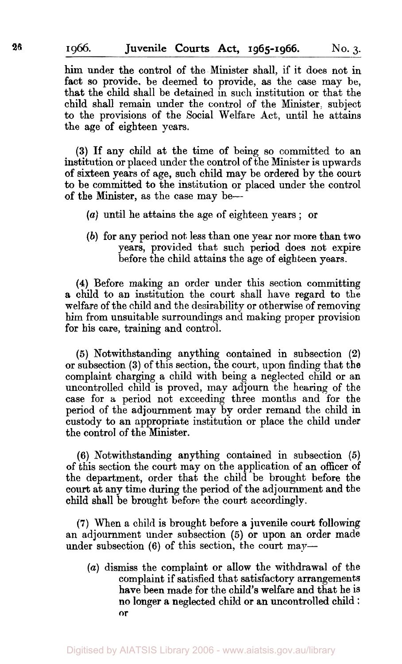him under the control of the Minister shall, if it does not in fact *so* provide, be deemed to provide, as the case may be, that the child shall be detained in such institution or that the child shall remain under the control of the Minister. subject to the provisions of the Social Welfare Act, until he attains the age of eighteen years.

**(3)** If any child at the time of being so committed to an institution or placed under the control of the Minister is upwards of sixteen years **of** age, such child may be ordered by the court to be committed to the institution **or** placed under the control of the Minister, as the case may be--

- *(a)* until he attains the age of eighteen years ; or
- *(b)* **for** any period not less than one year nor more than two years, provided that such period does not expire before the child attains the age **of** eighteen years.

**(4)** Before making an order under this section committing **a** child to an institution the **court** shall have regard to the welfare of the child and the desirability or otherwise of removing him from unsuitable surroundings and making proper provision for his care, training and control.

**(5)** Notwithstanding anything contained in subsection **(2)**  or subsection **(3)** of this section, the court, **upon** finding that the complaint charging a child with being a neglected child or an uncontrolled child is proved, may adjourn the hearing of the case for a period not exceeding three months and for the period of the adjournment may by order remand the child in custody to an appropriate institution or place the child under the control of the Minister.

**(6)** Notwithstanding anything contained in subsection **(5)**  of this section the court may on the application of an officer of the department, order that the child be brought before the court at any time during the period of the adjournment and the child shall be brought before the court accordingly.

**(7)** When a child is brought before a juvenile court following an adjournment under subsection *(5)* or upon an order made under subsection (6) of this section, the court may-

(a) dismiss the complaint or allow the withdrawal of the complaint if satisfied that satisfactory arrangements have been made for the child's welfare and that he is no longer a neglected child or an uncontrolled child ; or complaint if satisfied that satisfactory arrangements have been made for the child's welfare and that he is **or**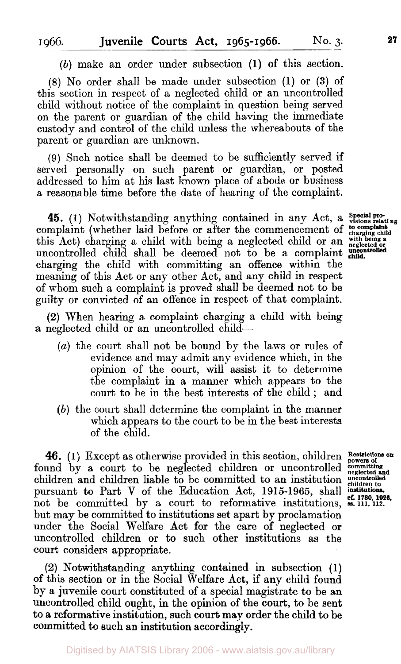*(b)* make an order under subsection **(1)** of this section.

**(8)** No order shall be made under subsection **(1)** or **(3)** of this section in respect of a neglected child or an uncontrolled child without notice of the complaint in question being served on the parent or guardian of the child having the immediate custody and control of the child unless the whereabouts of the parent or guardian are unknown.

(9) Such notice shall be deemed to be sufficiently served if served personally on such parent or guardian, or posted addressed to him at his last known place of abode or business a reasonable time before the date of hearing of the complaint.

**45.** (1) Notwithstanding anything contained in any Act, a *Special pro*complaint (whether laid before or after the commencement of **charging child** this Act) charging a child with being a neglected child or an *with being a neglected or*  uncontrolled child shall be deemed not to be a complaint charging the child with committing an offence within the meaning of this Act or any other Act, and any child in respect of whom such a complaint is proved shall be deemed not to be guilty or convicted of an offence in respect of that complaint.

*(2)* When hearing a complaint charging a child with being a neglected child or an uncontrolled child-

- *(a)* the court shall not be bound by the laws or rules of evidence and may admit any evidence which, in the opinion of the court, will assist it to determine the complaint in a manner which appears to the court to be in the best interests of the child ; and
- *(b)* the court shall determine the complaint in the manner which appears to the court to be in the best interests of the child.

**46.** (1) Except as otherwise provided in this section, children Restrictions on und by a court to be neglected children or uncontrolled explorating found by a court to be neglected children or uncontrolled **committing** children and children liable to be committed to an institution *uncontrolled* pursuant to Part V of the Education Act. 1915-1965, shall institutions. children and children liable to be committed to an institution pursuant to Part **V** of the Education Act, **1915-1965,** shall not be committed by a court to reformative institutions, **ss. 111, 112.** but may be committed to institutions set apart by proclamation under the Social Welfare Act for the care of neglected or uncontrolled children or to such other institutions as the court considers appropriate.

(2) Notwithstanding anything contained in subsection **(1)**  of this section or in the Social Welfare Act, if any child found by a juvenile court constituted of a special magistrate to be an uncontrolled child ought, in the opinion of the court, to be sent to a reformative institution, such court may order the child to be committed to such **an** institution accordmgly.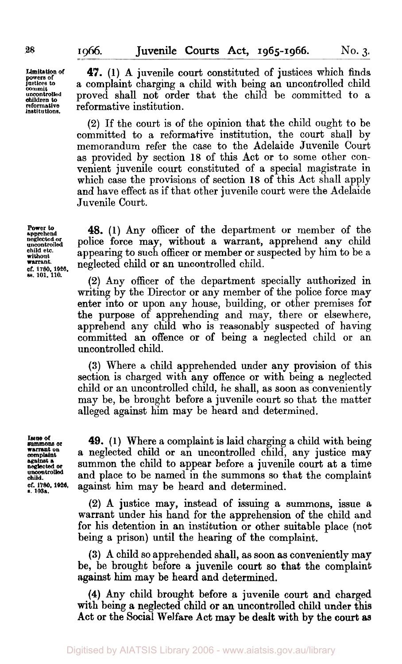**Limitation of powers of** *powers of justices to*  **commit uncontrolled children to reformative institutions.** 

**47. (1)** A juvenile court constituted of justices which finds a complaint charging a child with being an uncontrolled child proved shall not order that the child be committed **to** a reformative institution.

*(2)* If the court is of the opinion that the child ought **to** be committed to a reformative institution, the court shall by memorandum refer the case to the Adelaide Juvenile Court as provided by section **18** of this Act or to some other convenient juvenile court constituted of a special magistrate in which case the provisions of section **18** of this Act shall apply and have effect as if that other juvenile court were the Adelaide Juvenile Court.

**Power** *to* **apprehend neglected or uncontrolled child etc. without warrant. cf. 1780.1926. 88.101.110.** 

**48. (1)** Any officer of the department **or** member of the police force may, without a warrant, apprehend any child appearing to such officer or member or suspected by him to be a neglected child **or** an uncontrolled child.

*(2)* Any officer of the department specially authorized in writing by the Director **or** any member of the police force may enter into or upon any house, building, or other premises for the purpose of apprehending and may, there **or** elsewhere, apprehend any child who is reasonably suspected of having committed an offence **or** of being a neglected child or an uncontrolled child.

**(3)** Where a child apprehended under any provision of this section is charged with any offence **or** with being a neglected child **or** an uncontrolled child, he shall, as **soon** as conveniently may be, be brought before a juvenile court so that the matter alleged against him may be heard and determined.

**Issue Of warrant on [complaint](http://wmpl.int)**  summons **or against a neglected or uncontrolled child. of. 1780.1926.** *s.* **103a.** 

**49. (1)** Where a complaint is laid charging a child with being a neglected child or an uncontrolled child, any justice may summon the child to appear before a juvenile court at a time and place to be named in the summons so that the complaint against him may be heard and determined.

*(2)* A justice may, instead of issuing a summons, issue a warrant under his hand for the apprehension of the child and for his detention in an institution **or** other suitable place (not being a prison) until the hearing of the complaint.

**(3)** A child *so* apprehended shall, as **soon** as conveniently may be, be brought before a juvenile court *so* that the complaint against him may be heard and determined.

**(4)** Any child brought before a juvenile court and charged with being a neglected child or an uncontrolled child under this Act **or** the Social Welfare Act **may** be dealt with by the **court as**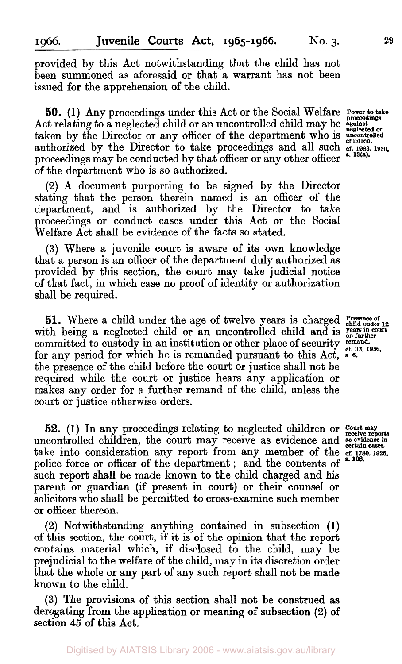provided by this Act notwithstanding that the child has not been summoned as aforesaid or that a warrant has not been issued for the apprehension of the child.

**50.** (1) Any proceedings under this Act or the Social Welfare **Power to take** Act relating to a neglected child or an uncontrolled child may be **against neglected** taken by the Director or any officer of the department who is **uncontrolled** authorized by the Director to take proceedings and all such **cf. 1983**, 1930. proceedings may be conducted by that officer or any other officer of the department who is so authorized.

**(2)** A document purporting to be signed by the Director stating that the person therein named is an officer of the department, and is authorized by the Director to take proceedings or conduct cases under this Act or the Social Welfare Act shall be evidence of the facts so stated.

**(3)** Where a juvenile court is aware of its own knowledge that a person is an officer of the department duly authorized as provided by this section, the court may take judicial notice of that fact, in which case no proof of identity or authorization shall be required.

51. Where a child under the age of twelve years is charged **Presence of**  $\Lambda$ with being a neglected child or an uncontrolled child and is vears in court committed to custody in an institution or other place of security remand.<br>for any period for which he is remanded pursuant to this Act.  $\frac{67}{5}$ ,  $\frac{33}{5}$ , 1952. for any period for which he is remanded pursuant to this Act, the presence of the child before the court or justice shall not be required while the court or justice hears any application or makes any order for a further remand of the child, unless the court or justice otherwise orders.

**52. (1)** In any proceedings relating to neglected children or **Court may receive reports**  uncontrolled children, the court may receive as evidence and **assistance** in take into consideration any report from any member of the **cf. 1780, 1926.**  police force or officer of the department; and the contents of **s.** 108. such report shall be made known to the child charged and his parent or guardian (if present in court) or their counsel or solicitors who shall be permitted to cross-examine such member or officer thereon.

**(2)** Notwithstanding anything contained in subsection **(1)**  of this section, the court, if it is of the opinion that the report contains material which, if disclosed to the child, may be prejudicial to the welfare of the child, may in its discretion order that the whole or any part of any such report shall not be made known to the child.

**(3)** The provisions of this section shall not be construed **as**  derogating from the application or meaning of subsection **(2) of**  section **45** of this **Act.**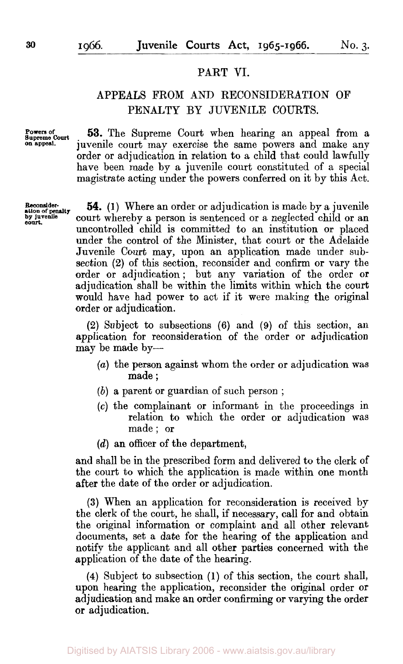## PART VI.

## APPEALS FROM ANI) RECONSIDERATION OF PENALTY BY JUVENILE COURTS.

Powers of **Supreme Powers of** *Court*  **on appeal.** 

**53.** The Supreme Court when hearing an appeal from a juvenile court may exercise the same powers and make any order or adjudication in relation to a child that could lawfully have been made by a juvenile court constituted of **a** special magistrate acting under the powers conferred on it by this Act.

**Reconsider-**<br>**ation of penalty**<br>**by juvenile**<br>**court.** 

**54. (1)** Where an order or adjudication is made by a juvenile court whereby a person is sentenced or a neglected child or an uncontrolled child is committed to an institution or placed under the control of the Minister, that court or the Adelaide Juvenile Court may, upon an application made under subsection **(2)** of this section, reconsider and confirm or vary the order or adjudication; but any variation of the order or adjudication shall be within the limits within which the court would have had power to act if it were making the original order or adjudication.

**(2)** Subject to subsections **(6)** and (9) of this section, an application for reconsideration of the order or adjudication may be made by-

- *(a)* the person against whom the order or adjudication was made ;
- *(b)* a parent or guardian of such person ;
- **(c)** the complainant or informant in the proceedings in relation to which the order or adjudication was made; or
- *(d)* an officer of the department,

and shall be in the prescribed form and delivered to the clerk of the court to which the application is made within one month after the date of the order or adjudication.

**(3)** When an application for reconsideration is received by the clerk of the court, he shall, if necessary, call for and obtain the original information or complaint and all other relevant documents, set a date for the hearing of the application and notify the applicant and all other parties concerned with the application of the date of the hearing.

**(4)** Subject to subsection **(1)** of this section, the court shall, upon hearing the application, reconsider the original order or adjudication and make an order confirming or varying the order **or** adjudication.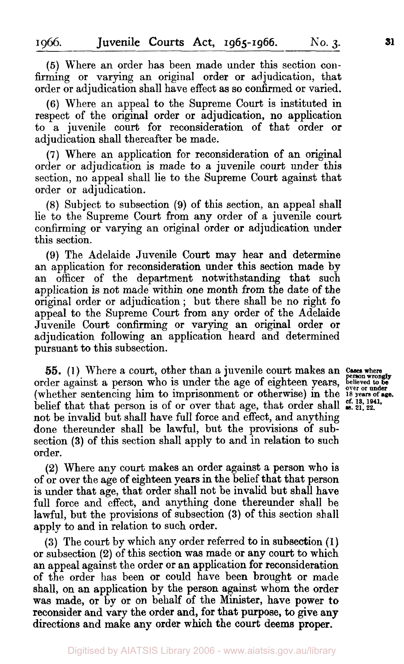*(5)* Where an order has been made under this section confirming or varying an original order or adjudication, that order or adjudication shall have effect as so confirmed or varied.

**(6)** Where an appeal to the Supreme Court is instituted in respect of the original order or adjudication, no application to a juvenile court for reconsideration of that order **or**  adjudication shall thereafter be made.

**(7)** Where an application for reconsideration of an original order or adjudication is made to a juvenile court under this section, no appeal shall lie to the Supreme Court against that order **or** adjudication.

*(8)* Subject to subsection **(9)** of this section, an appeal shalI lie to the Supreme Court from any order of a juvenile court confirming or varying an original order or adjudication under this section.

**(9)** The Adelaide Juvenile Court may hear and determine an application for reconsideration under this section made by an officer of the department notwithstanding that such application is not made within one month from the date **of** the original order or adjudication ; but there shall be no right **fo**  appeal to the Supreme Court from any order of the Adelaide Juvenile Court confirming or varying an original order or adjudication following an application heard and determined pursuant to this subsection.

*55.* **(1)** Where a court, other than a juvenile court makes an order against a person who is under the age **of** eighteen years, (whether sentencing him to imprisonment or otherwise) in the <sup>18</sup> vears of age. belief that that person is of or over that age, that order shall  $\frac{cf. 18, 1941}{48, 21, 22}$ . not be invalid but shall have full force and effect, and anything done thereunder shall be lawful, but the provisions of subsection **(3)** of this section shall apply to and in relation to such order.

**(2)** Where any court makes an order against a person who is of or over the age of eighteen years in the belief that that person is under that age, that order shall not be invalid but shall have full force and effect, and anything done thereunder shall be lawful, but the provisions of subsection **(3)** of this section shall apply to and in relation to such order.

**(3)** The court by which any order referred to in subsection **(1)**  or subsection **(2)** of this section was made or any court to which an appeal against the order or an application for reconsideration of the order has been or could have been brought or made shall, on an application by the person against whom the order was made, or by or **on** behalf of the **Minister,** have **power** *to*  reconsider and vary the order and, for that purpose, to give any directions and make any order which the court **deems proper.** 

**Cases where person wrongly person wrongly believed to be**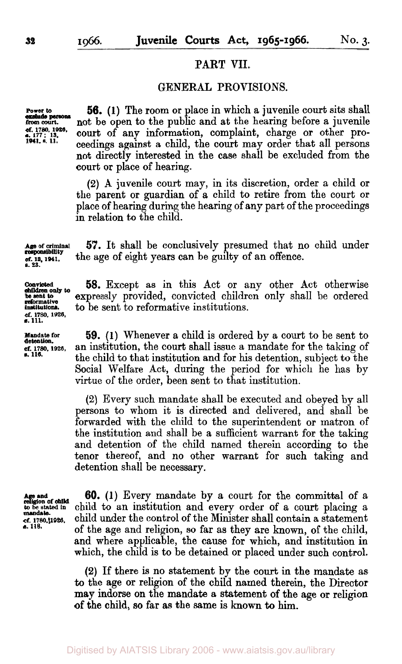## PART **VII.**

## GENERAL PROVISIONS.

**exclude persons 1941. a. 11.** 

**56.** (1) The room or place in which a juvenile court sits shall **from court.** not be open to the public and at the hearing before a juvenile<br>of 1780, 1926, court of any information complaint charge or other procourt of any information, complaint, charge or other proceedings against a child, the court may order that all persons not directly interested in the case shall be excluded from the court or place of hearing.

> **(2)** A juvenile court may, in its discretion, order a child or the parent or guardian of a child to retire from the court or place of hearing during the hearing of any part of the proceedings in relation to the child.

**lAge of criminal responsibility**  *cf.* **18,1941, s. 23. 57.** It shall be conclusively presumed that no child under the age of eight years can be guilty of an offence.

> **58.** Except as in this Act or any other Act otherwise expressly provided, convicted children only shall be ordered to be sent to reformative institutions.

**59.** (1) Whenever a child is ordered by a court to be sent to **cf. 1780.1026,** an institution, the court shall issue a mandate for the taking of the child to that institution and for his detention, subject to the Social Welfare Act, during the period for which he has by virtue of the order, been sent to that institution.

> **(2)** Every such mandate shall be executed and obeyed by all persons to whom it is directed and delivered, and shall be forwarded with the child to the superintendent or matron of the institution and shall be a sufficient warrant **for** the taking and detention of the child named therein according to the tenor thereof, and no other warrant for such taking and detention shall be necessary.

**Aligion of child**<br>**A** be stated in **mandate.** 

**60. (1)** Every mandate by a court for the committal of a child to an institution and every order of a court placing a ref. 1780.11926. child under the control of the Minister shall contain a statement<br>**6.** 118. **of** the age and religion, so far as they are known, of the child, and where applicable, the cause for which, and institution in which, the child is to be detained or placed under such control.

> **(2)** If there is no Statement by the court in the mandate as *to* the age or religion of the child named therein, the Director may indorse on the mandate a statement of the age **or** religion **of** the child, **so** far as the same is known to him.

**Convicted be sent to children** *only* **to institutions. reformative**  *cf.* **1780.1026. s. 111.** 

**Mandate for**<br>detention. *s.* **116.**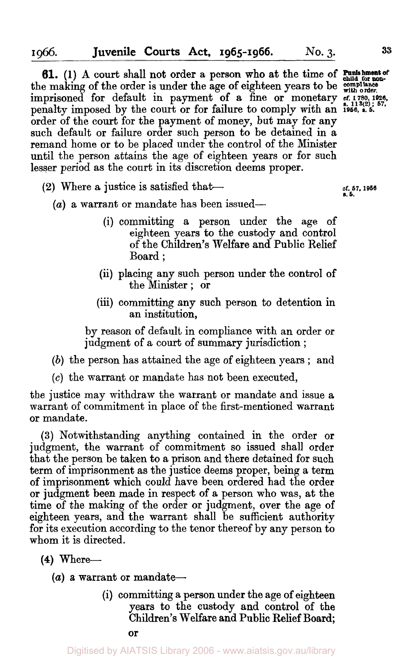**61.** (1) A court shall not order a person who at the time of **Punishment of** child for nonthe making of the order is under the age of eighteen years to be  $\frac{\text{compliance}}{\text{with order}}$ . imprisoned for default in payment of a fine or monetary **cf. 1780, 1926**, sr. penalty imposed by the court or for failure to comply with an **1956.** *s. 5.*  order of the court for the payment of money, but may for any such default or failure order such person to be detained in a remand home or to be placed under the control of the Minister until the person attains the age of eighteen years or for such lesser period as the court in its discretion deems proper.

- **cf. 57, 1956 a.** *5.* **(2)** Where a justice is satisfied that-
	- *(a)* a warrant or mandate has been issued-
		- (i) committing a person under the age of eighteen years to the custody and control of the Children's Welfare and Public Relief Board ;
		- (ii) placing any such person under the control of the Minister ; or
		- (iii) committing any such person to detention in an institution,

by reason of default in compliance with an order or judgment of a court of summary jurisdiction ;

- *(b)* the person has attained the age of eighteen years ; and
- *(c)* the warrant or mandate has not been executed,

the justice may withdraw the warrant or mandate and issue a warrant of commitment in place of the first-mentioned warrant or mandate.

**(3)** Notwithstanding anything contained in the order or judgment, the warrant of commitment so issued shall order that the person be taken to a prison and there detained for such term of imprisonment as the justice deems proper, being a term of imprisonment which could have been ordered had the order or judgment been made in respect of a person who was, at the time of the making of the order or judgment, over the age of eighteen years, and the warrant shall be sufficient authority for its execution according to the tenor thereof by any person to whom it is directed.

- **(4)** Where-
	- (a) a warrant or mandate-
		- (i) committing a person under the age of eighteen years to the custody and control of the Children's Welfare and Public Relief Board;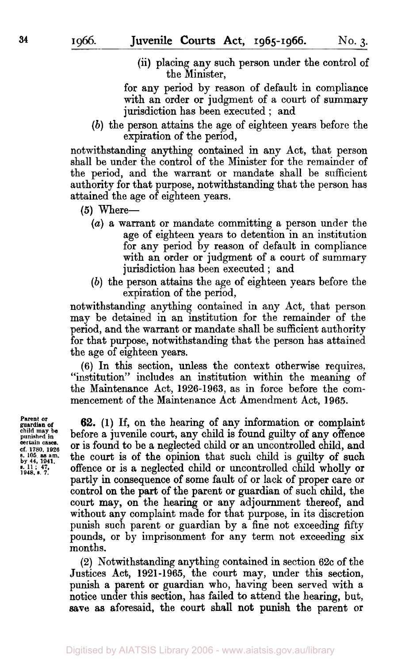(ii) placing any such person under the control of the Minister,

for any period by reason of default in compliance with an order **or** judgment of a court of summary jurisdiction has been executed ; and

*(b)* the person attains the age of eighteen years before the expiration of the period,

notwithstanding anything contained in any Act, that person shall be under the control of the Minister for the remainder of the period, and the warrant **or** mandate shall be sufficient authority for that purpose, notwithstanding that the person has attained the age of eighteen years.

*(5)* Where-

- *(a)* a warrant or mandate committing a person under the age of eighteen years to detention in an institution for any period by reason of default in compliance with an order or judgment of a court of summary jurisdiction has been executed ; and
- *(b)* the person attains the age of eighteen years before the expiration of the period,

notwithstanding anything contained in any Act, that person may be detained in an institution for the remainder of the period, and the warrant **or** mandate shall be sufficient authority for that purpose, notwithstanding that the person has attained the age of eighteen years.

(6) In this section, unless the context otherwise requires, "institution" includes an institution within the meaning of the Maintenance Act, 1926-1963, as in force before the commencement of the Maintenance Act Amendment Act, 1965.

**Parent or guardian of child may be punished in certain** *cases.*  **cf. 1780. 1926** *s.* **105 as am. by 44, 1941. s. <sup>11</sup>**; **47. 1948. s. 7.** 

**62. (1)** If, on the hearing of any information **or** complaint before a juvenile court, any child is found guilty **of** any offence **or** is found to be a neglected child **or** an uncontrolled child, and the **court** is of the opinion that such child is guilty **of** such offence or is a neglected child or uncontrolled child wholly **or**  partly in consequence of some fault **of** or lack of proper care **or**  control **on** the part of the parent **or** guardian of such child, the **court** may, **on** the hearing or any adjournment thereof, and without any complaint made for that purpose, in its discretion punish such parent or guardian by a fine not exceeding fifty pounds, **or** by imprisonment for any term not exceeding six months.

(2) Notwithstanding anything contained in section 62c of the Justices Act, 1921-1965, the court may, under this section, punish a parent **or** guardian who, having been served with a notice under this section, has failed to attend the hearing, but, **save as** aforesaid, the court shall not punish the parent **or**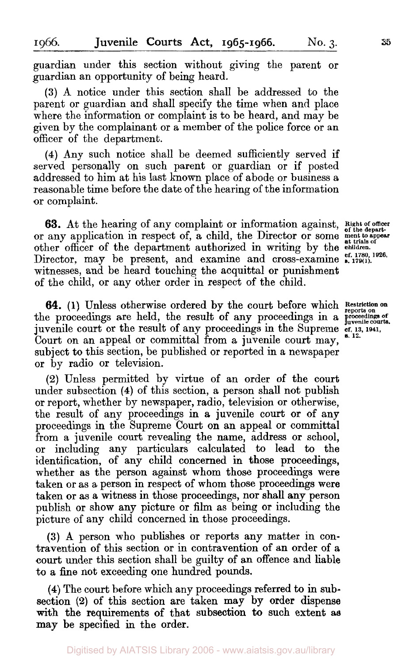guardian under this section without giving the parent or guardian an opportunity of being heard.

**(3)** A notice under this section shall be addressed to the parent or guardian and shall specify the time when and place where the information or complaint is to be heard, and may be given by the complainant or a member of the police force or an officer of the department.

**(4)** Any such notice shall be deemed sufficiently served if served personally on such parent or guardian or if posted addressed to him at his last known place of abode or business a reasonable time before the date of the hearing of the information or complaint.

**63.** At the hearing of any complaint or information against, or any application in respect of, a child, the Director or some other officer of the department authorized in writing by the Director, may be present, and examine and cross-examine  $\epsilon$ . 1780, 1926, witnesses, and be heard touching the acquittal or punishment of the child, or any other order in respect of the child.

**64. (1)** Unless otherwise ordered by the court before which **64.** (1) Unless otherwise ordered by the court before which Restriction on the proceedings are held, the result of any proceedings in a proceedings of  $\frac{1}{2}$ juvenile court or the result of any proceedings in the Supreme **cf. 13. 1841.** *s.* **12.**  Court on an appeal or committal from a juvenile court may, subject to this section, be published or reported in a newspaper or by radio or television.

**(2)** Unless permitted by virtue of an order of the court under subsection **(4)** of this section, a person shall not publish or report, whether by newspaper, radio, television or otherwise, the result of any proceedings in a juvenile court or of any proceedings in the Supreme Court on an appeal or committal from a juvenile court revealing the name, address or school, or including any particulars calculated to lead to the identification, of any child concerned in those proceedings, whether as the person against whom those proceedings were taken or as a person in respect of whom those proceedings were taken or as a witness in those proceedings, nor shall **any** person publish or show any picture or film as being or including the picture of any child concerned in those proceedings.

**(3)** A person who publishes or reports any matter in contravention of this section or in contravention of an order of a court under this section shall be guilty of an offence and liable **to** a fine not exceeding one hundred pounds.

**(4)** The court before which any proceedings referred to in subsection **(2)** of this section are taken may by order dispense with the requirements of that subsection to such extent as may be specified in the order.

Digitised by AIATSIS Library 2006 - www.aiatsis.gov.au/library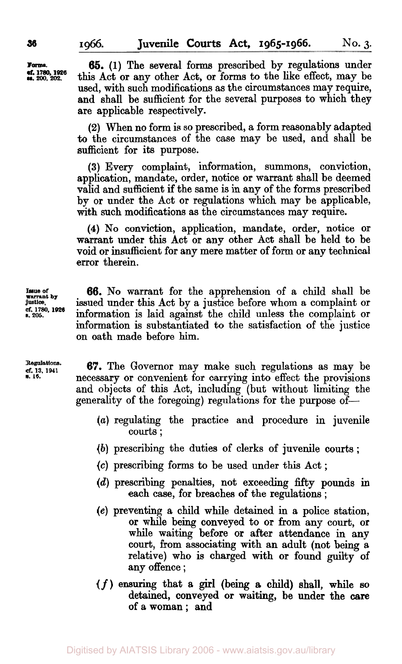**Forms. ss. 200, 202. Of. 1780, 1926** 

**65. (1)** The several forms prescribed by regulations under this Act **or any** other Act, **or** forms to the like effect, may be used, with such modifications as the circumstances may require, and shall be sufficient for the several purposes to which they **are** applicable respectively.

**(2)** When **no** form is so prescribed, a form reasonably adapted to the circumstances of the case may be used, and shall be sufficient for its purpose.

**(3) Every** complaint, information, summons, conviction, application, mandate, order, notice **or** warrant shall be deemed valid and sufficient if the same is in any of the forms prescribed by or under the Act **or** regulations which may be applicable, with such modifications as the circumstances may require.

**(4) No** conviction, application, mandate, order, notice **or**  warrant under this Act **or** any other Act shall be held to be void **or** insufficient for **any** mere matter of form **or** any technical error therein.

**66. No** warrant for the apprehension of a child shall be issued under this Act by a justice before whom a complaint or information is laid against the child unless the complaint **or**  information is substantiated to the satisfaction of the justice **on** oath made before him.

**67.** The Governor may make such regulations as may be necessary or convenient for carrying into effect the provisions and objects of this Act, including (but without limiting the generality of the foregoing) regulations for the purpose of-

- *(a)* regulating the practice and procedure in juvenile courts ;
- *(b)* prescribing the duties of clerks of juvenile courts ;
- *(c)* prescribing forms to be used under this Act ;
- *(d)* prescribing penalties, not exceeding *fifty* pounds in each case, **for** breaches of the regulations ;
- **(e)** preventing **a** child while detained in **a** police station, **or** while being conveyed to **or** from any court, **or**  while waiting before **or after** attendance in any court, from associating with **an** adult (not being **a**  relative) who is charged with **or** found guilty of **any** offence ;
- (f) ensuring that **a girl** (being a child) shall, while *so*  detained, conveyed **or** waiting, be under the **care**  of **a** woman ; and

**Warrant** *b***y justice.** *Cf.* **1780, 1926** *s.* **206.** 

Regulations. *Cf.* **Regulations. 13. 1941 s. 16.**